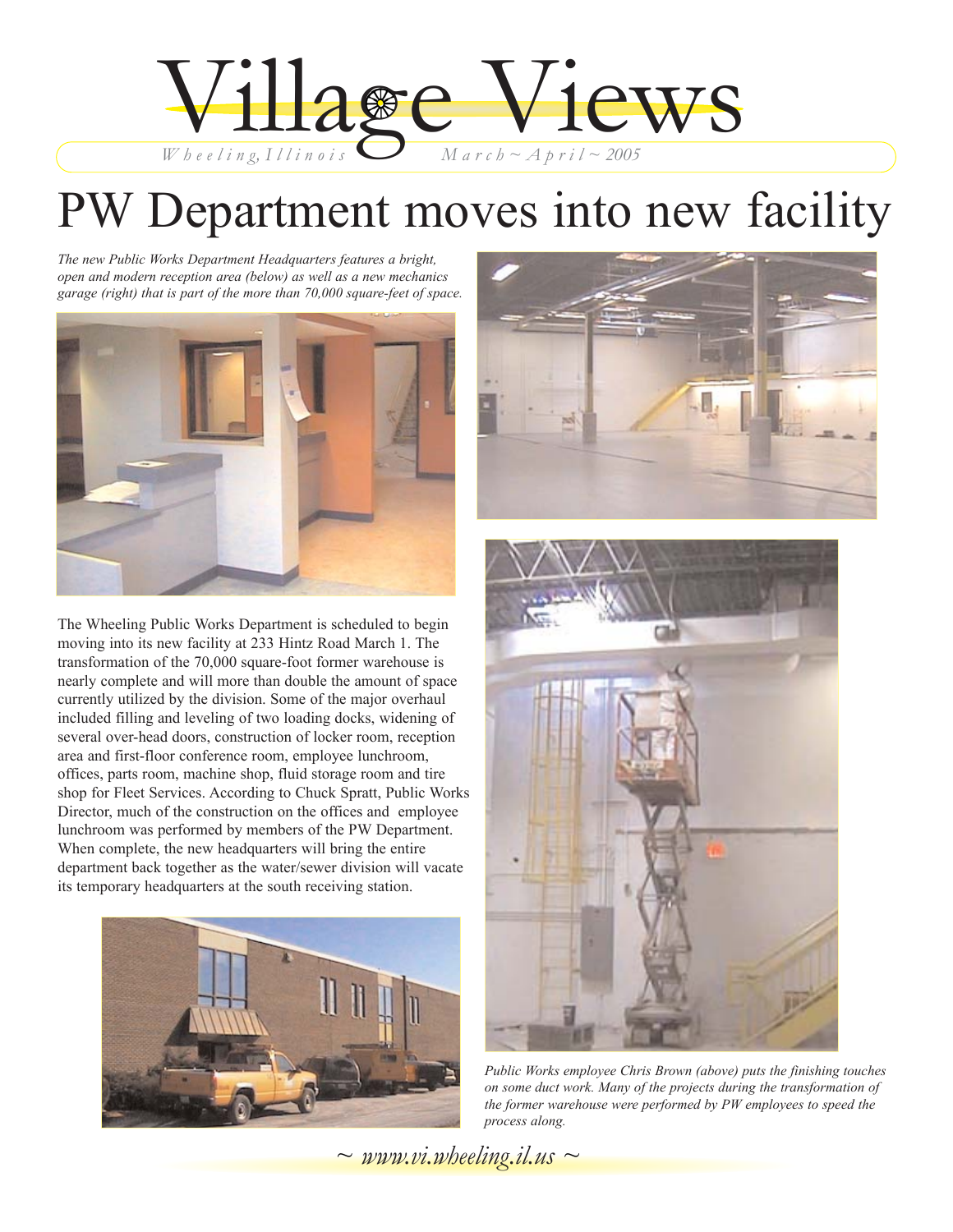

# PW Department moves into new facility

*The new Public Works Department Headquarters features a bright, open and modern reception area (below) as well as a new mechanics garage (right) that is part of the more than 70,000 square-feet of space.*



The Wheeling Public Works Department is scheduled to begin moving into its new facility at 233 Hintz Road March 1. The transformation of the 70,000 square-foot former warehouse is nearly complete and will more than double the amount of space currently utilized by the division. Some of the major overhaul included filling and leveling of two loading docks, widening of several over-head doors, construction of locker room, reception area and first-floor conference room, employee lunchroom, offices, parts room, machine shop, fluid storage room and tire shop for Fleet Services. According to Chuck Spratt, Public Works Director, much of the construction on the offices and employee lunchroom was performed by members of the PW Department. When complete, the new headquarters will bring the entire department back together as the water/sewer division will vacate its temporary headquarters at the south receiving station.







*Public Works employee Chris Brown (above) puts the finishing touches on some duct work. Many of the projects during the transformation of the former warehouse were performed by PW employees to speed the process along.*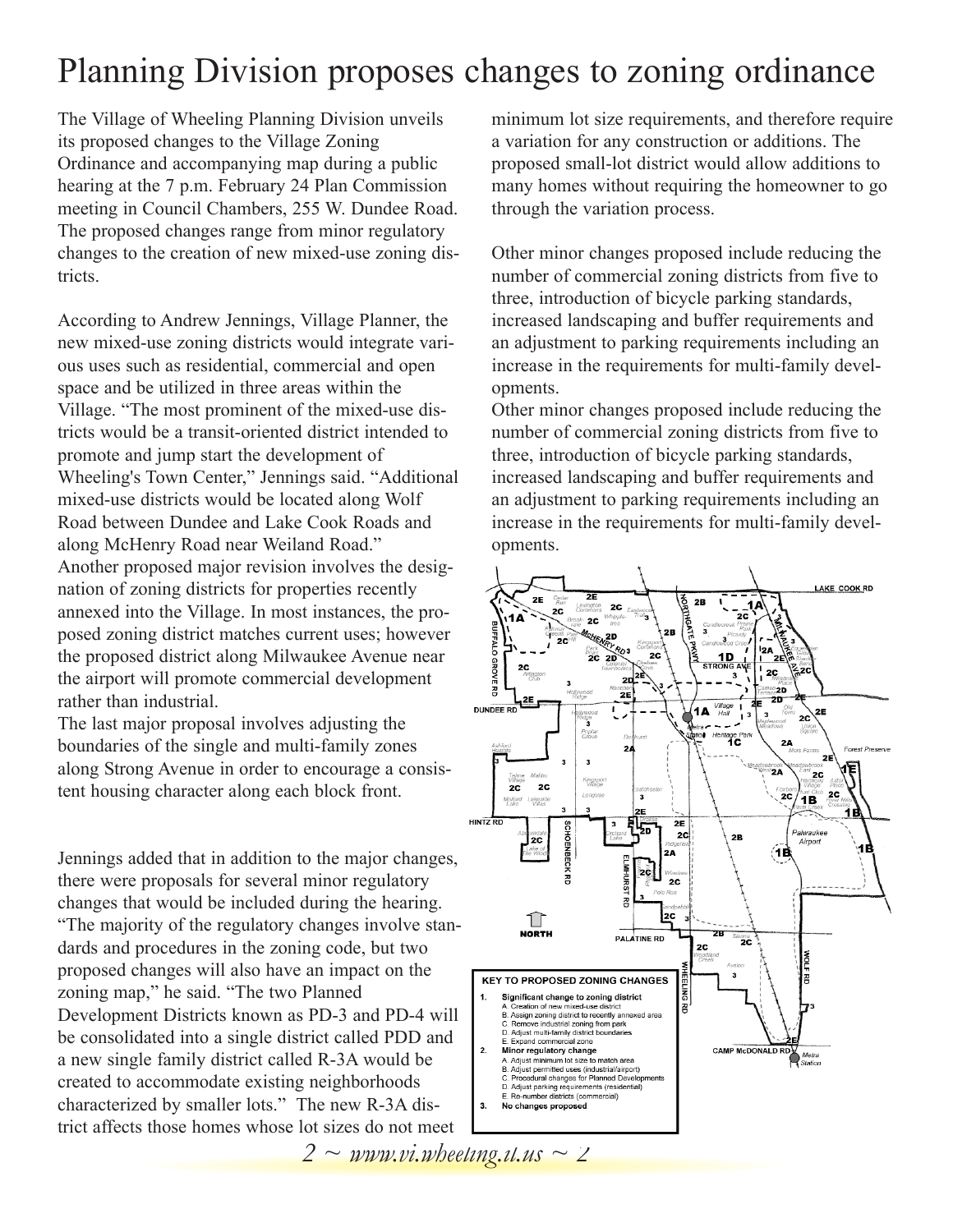### Planning Division proposes changes to zoning ordinance

The Village of Wheeling Planning Division unveils its proposed changes to the Village Zoning Ordinance and accompanying map during a public hearing at the 7 p.m. February 24 Plan Commission meeting in Council Chambers, 255 W. Dundee Road. The proposed changes range from minor regulatory changes to the creation of new mixed-use zoning districts.

According to Andrew Jennings, Village Planner, the new mixed-use zoning districts would integrate various uses such as residential, commercial and open space and be utilized in three areas within the Village. "The most prominent of the mixed-use districts would be a transit-oriented district intended to promote and jump start the development of Wheeling's Town Center," Jennings said. "Additional mixed-use districts would be located along Wolf Road between Dundee and Lake Cook Roads and along McHenry Road near Weiland Road." Another proposed major revision involves the designation of zoning districts for properties recently annexed into the Village. In most instances, the proposed zoning district matches current uses; however the proposed district along Milwaukee Avenue near the airport will promote commercial development rather than industrial.

The last major proposal involves adjusting the boundaries of the single and multi-family zones along Strong Avenue in order to encourage a consistent housing character along each block front.

Jennings added that in addition to the major changes, there were proposals for several minor regulatory changes that would be included during the hearing. "The majority of the regulatory changes involve standards and procedures in the zoning code, but two proposed changes will also have an impact on the zoning map," he said. "The two Planned Development Districts known as PD-3 and PD-4 will be consolidated into a single district called PDD and a new single family district called R-3A would be created to accommodate existing neighborhoods characterized by smaller lots." The new R-3A district affects those homes whose lot sizes do not meet

minimum lot size requirements, and therefore require a variation for any construction or additions. The proposed small-lot district would allow additions to many homes without requiring the homeowner to go through the variation process.

Other minor changes proposed include reducing the number of commercial zoning districts from five to three, introduction of bicycle parking standards, increased landscaping and buffer requirements and an adjustment to parking requirements including an increase in the requirements for multi-family developments.

Other minor changes proposed include reducing the number of commercial zoning districts from five to three, introduction of bicycle parking standards, increased landscaping and buffer requirements and an adjustment to parking requirements including an increase in the requirements for multi-family developments.

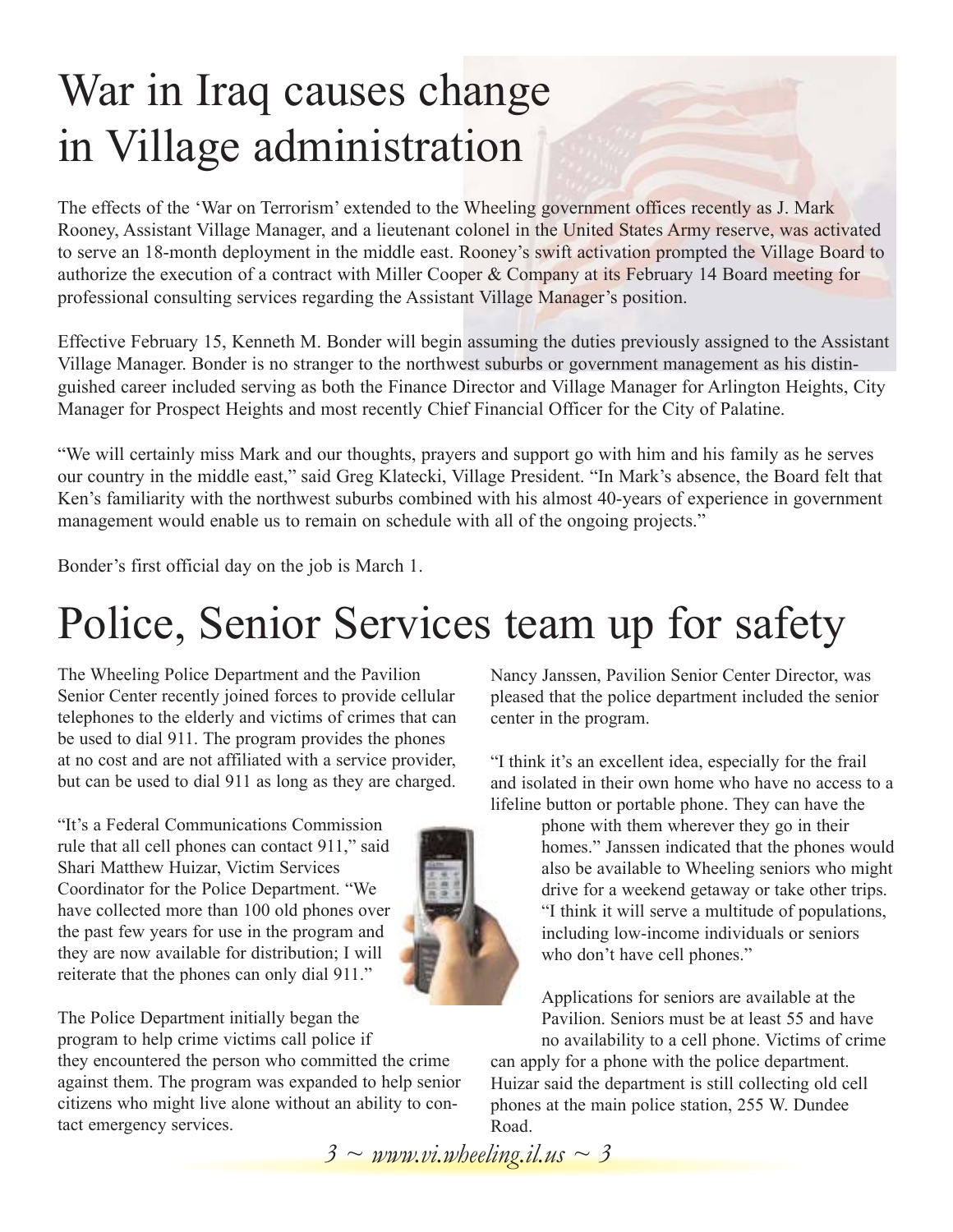# War in Iraq causes change in Village administration

The effects of the 'War on Terrorism' extended to the Wheeling government offices recently as J. Mark Rooney, Assistant Village Manager, and a lieutenant colonel in the United States Army reserve, was activated to serve an 18-month deployment in the middle east. Rooney's swift activation prompted the Village Board to authorize the execution of a contract with Miller Cooper & Company at its February 14 Board meeting for professional consulting services regarding the Assistant Village Manager's position.

Effective February 15, Kenneth M. Bonder will begin assuming the duties previously assigned to the Assistant Village Manager. Bonder is no stranger to the northwest suburbs or government management as his distinguished career included serving as both the Finance Director and Village Manager for Arlington Heights, City Manager for Prospect Heights and most recently Chief Financial Officer for the City of Palatine.

"We will certainly miss Mark and our thoughts, prayers and support go with him and his family as he serves our country in the middle east," said Greg Klatecki, Village President. "In Mark's absence, the Board felt that Ken's familiarity with the northwest suburbs combined with his almost 40-years of experience in government management would enable us to remain on schedule with all of the ongoing projects."

Bonder's first official day on the job is March 1.

## Police, Senior Services team up for safety

The Wheeling Police Department and the Pavilion Senior Center recently joined forces to provide cellular telephones to the elderly and victims of crimes that can be used to dial 911. The program provides the phones at no cost and are not affiliated with a service provider, but can be used to dial 911 as long as they are charged.

"It's a Federal Communications Commission rule that all cell phones can contact 911," said Shari Matthew Huizar, Victim Services Coordinator for the Police Department. "We have collected more than 100 old phones over the past few years for use in the program and they are now available for distribution; I will reiterate that the phones can only dial 911."



The Police Department initially began the program to help crime victims call police if they encountered the person who committed the crime against them. The program was expanded to help senior citizens who might live alone without an ability to contact emergency services.

Nancy Janssen, Pavilion Senior Center Director, was pleased that the police department included the senior center in the program.

"I think it's an excellent idea, especially for the frail and isolated in their own home who have no access to a lifeline button or portable phone. They can have the

> phone with them wherever they go in their homes." Janssen indicated that the phones would also be available to Wheeling seniors who might drive for a weekend getaway or take other trips. "I think it will serve a multitude of populations, including low-income individuals or seniors who don't have cell phones."

Applications for seniors are available at the Pavilion. Seniors must be at least 55 and have no availability to a cell phone. Victims of crime

can apply for a phone with the police department. Huizar said the department is still collecting old cell phones at the main police station, 255 W. Dundee Road.

*3 ~ www.vi.wheeling.il.us ~ 3*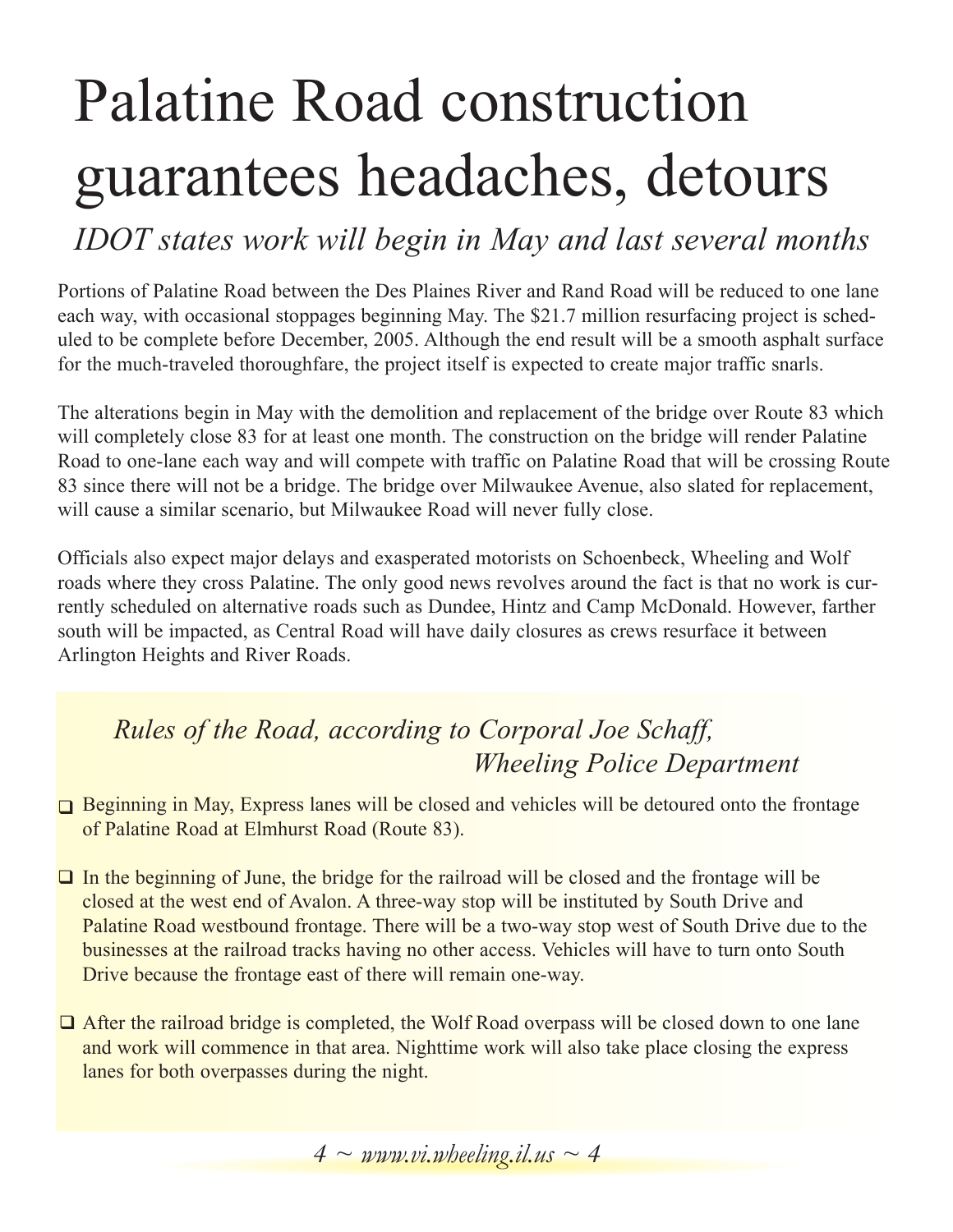# Palatine Road construction guarantees headaches, detours

*IDOT states work will begin in May and last several months*

Portions of Palatine Road between the Des Plaines River and Rand Road will be reduced to one lane each way, with occasional stoppages beginning May. The \$21.7 million resurfacing project is scheduled to be complete before December, 2005. Although the end result will be a smooth asphalt surface for the much-traveled thoroughfare, the project itself is expected to create major traffic snarls.

The alterations begin in May with the demolition and replacement of the bridge over Route 83 which will completely close 83 for at least one month. The construction on the bridge will render Palatine Road to one-lane each way and will compete with traffic on Palatine Road that will be crossing Route 83 since there will not be a bridge. The bridge over Milwaukee Avenue, also slated for replacement, will cause a similar scenario, but Milwaukee Road will never fully close.

Officials also expect major delays and exasperated motorists on Schoenbeck, Wheeling and Wolf roads where they cross Palatine. The only good news revolves around the fact is that no work is currently scheduled on alternative roads such as Dundee, Hintz and Camp McDonald. However, farther south will be impacted, as Central Road will have daily closures as crews resurface it between Arlington Heights and River Roads.

### *Rules of the Road, according to Corporal Joe Schaff, Wheeling Police Department*

- Beginning in May, Express lanes will be closed and vehicles will be detoured onto the frontage of Palatine Road at Elmhurst Road (Route 83).
- $\Box$  In the beginning of June, the bridge for the railroad will be closed and the frontage will be closed at the west end of Avalon. A three-way stop will be instituted by South Drive and Palatine Road westbound frontage. There will be a two-way stop west of South Drive due to the businesses at the railroad tracks having no other access. Vehicles will have to turn onto South Drive because the frontage east of there will remain one-way.
- **T** After the railroad bridge is completed, the Wolf Road overpass will be closed down to one lane and work will commence in that area. Nighttime work will also take place closing the express lanes for both overpasses during the night.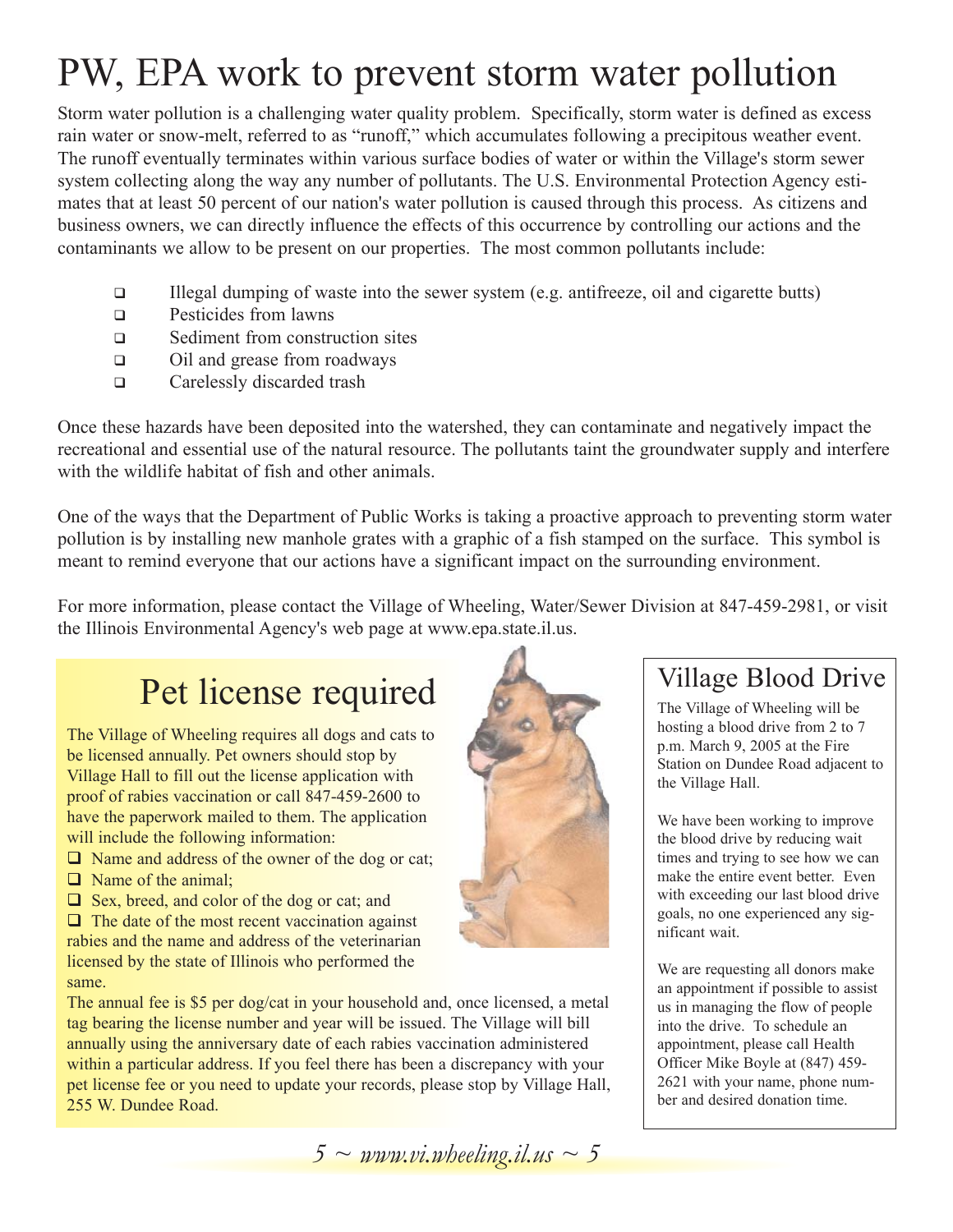## PW, EPA work to prevent storm water pollution

Storm water pollution is a challenging water quality problem. Specifically, storm water is defined as excess rain water or snow-melt, referred to as "runoff," which accumulates following a precipitous weather event. The runoff eventually terminates within various surface bodies of water or within the Village's storm sewer system collecting along the way any number of pollutants. The U.S. Environmental Protection Agency estimates that at least 50 percent of our nation's water pollution is caused through this process. As citizens and business owners, we can directly influence the effects of this occurrence by controlling our actions and the contaminants we allow to be present on our properties. The most common pollutants include:

- $\Box$  Illegal dumping of waste into the sewer system (e.g. antifreeze, oil and cigarette butts)
- **Q** Pesticides from lawns
- □ Sediment from construction sites
- □ Oil and grease from roadways
- □ Carelessly discarded trash

Once these hazards have been deposited into the watershed, they can contaminate and negatively impact the recreational and essential use of the natural resource. The pollutants taint the groundwater supply and interfere with the wildlife habitat of fish and other animals.

One of the ways that the Department of Public Works is taking a proactive approach to preventing storm water pollution is by installing new manhole grates with a graphic of a fish stamped on the surface. This symbol is meant to remind everyone that our actions have a significant impact on the surrounding environment.

For more information, please contact the Village of Wheeling, Water/Sewer Division at 847-459-2981, or visit the Illinois Environmental Agency's web page at www.epa.state.il.us.

### Pet license required

The Village of Wheeling requires all dogs and cats to be licensed annually. Pet owners should stop by Village Hall to fill out the license application with proof of rabies vaccination or call 847-459-2600 to have the paperwork mailed to them. The application will include the following information:

- $\Box$  Name and address of the owner of the dog or cat;
- $\Box$  Name of the animal;
- $\Box$  Sex, breed, and color of the dog or cat; and

 $\Box$  The date of the most recent vaccination against rabies and the name and address of the veterinarian licensed by the state of Illinois who performed the same.

The annual fee is \$5 per dog/cat in your household and, once licensed, a metal tag bearing the license number and year will be issued. The Village will bill annually using the anniversary date of each rabies vaccination administered within a particular address. If you feel there has been a discrepancy with your pet license fee or you need to update your records, please stop by Village Hall, 255 W. Dundee Road.



#### Village Blood Drive

The Village of Wheeling will be hosting a blood drive from 2 to 7 p.m. March 9, 2005 at the Fire Station on Dundee Road adjacent to the Village Hall.

We have been working to improve the blood drive by reducing wait times and trying to see how we can make the entire event better. Even with exceeding our last blood drive goals, no one experienced any significant wait.

We are requesting all donors make an appointment if possible to assist us in managing the flow of people into the drive. To schedule an appointment, please call Health Officer Mike Boyle at (847) 459- 2621 with your name, phone number and desired donation time.

*5 ~ www.vi.wheeling.il.us ~ 5*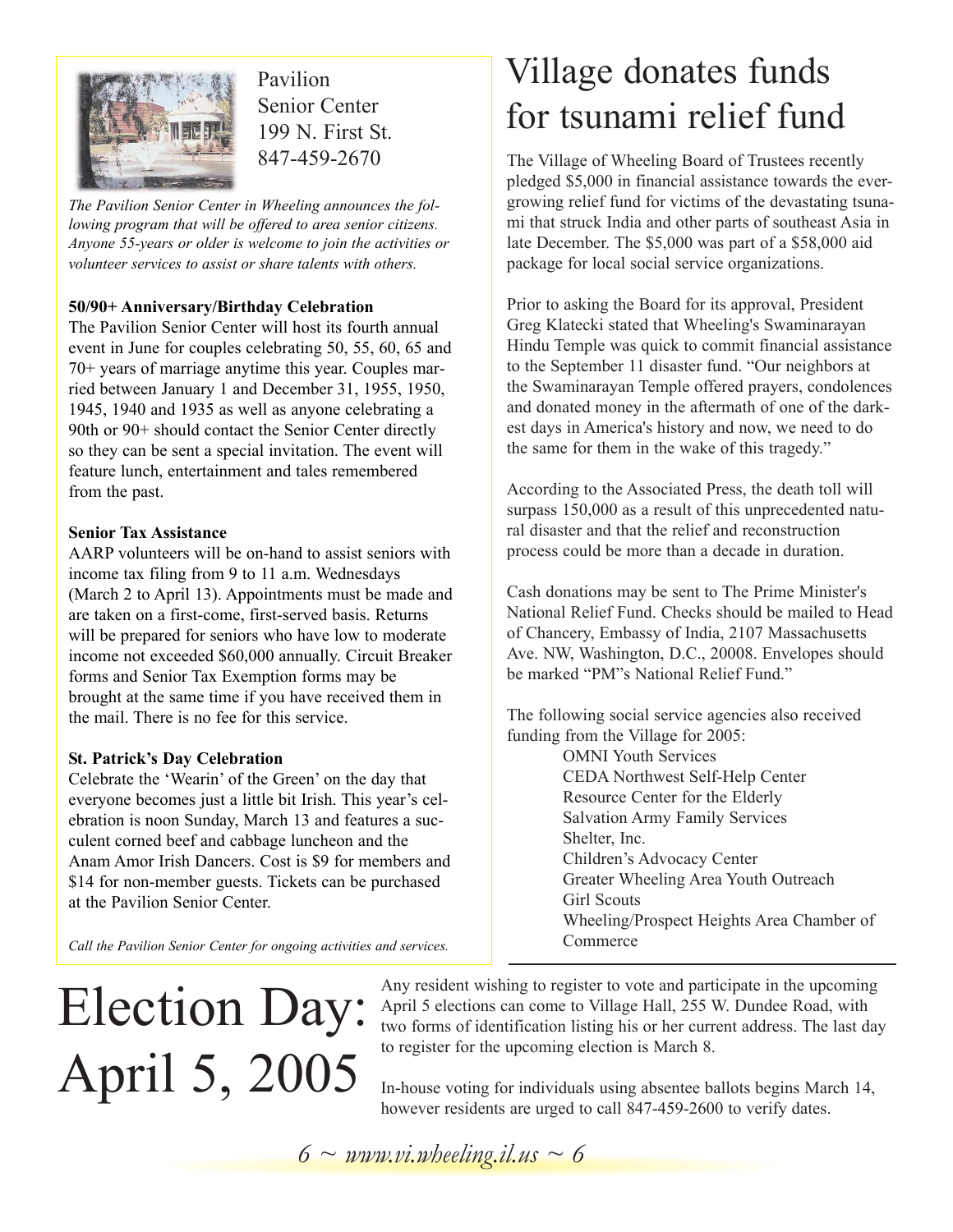

Pavilion Senior Center 199 N. First St. 847-459-2670

*The Pavilion Senior Center in Wheeling announces the following program that will be offered to area senior citizens. Anyone 55-years or older is welcome to join the activities or volunteer services to assist or share talents with others.*

#### **50/90+ Anniversary/Birthday Celebration**

The Pavilion Senior Center will host its fourth annual event in June for couples celebrating 50, 55, 60, 65 and 70+ years of marriage anytime this year. Couples married between January 1 and December 31, 1955, 1950, 1945, 1940 and 1935 as well as anyone celebrating a 90th or 90+ should contact the Senior Center directly so they can be sent a special invitation. The event will feature lunch, entertainment and tales remembered from the past.

#### **Senior Tax Assistance**

AARP volunteers will be on-hand to assist seniors with income tax filing from 9 to 11 a.m. Wednesdays (March 2 to April 13). Appointments must be made and are taken on a first-come, first-served basis. Returns will be prepared for seniors who have low to moderate income not exceeded \$60,000 annually. Circuit Breaker forms and Senior Tax Exemption forms may be brought at the same time if you have received them in the mail. There is no fee for this service.

#### **St. Patrick's Day Celebration**

Celebrate the 'Wearin' of the Green' on the day that everyone becomes just a little bit Irish. This year's celebration is noon Sunday, March 13 and features a succulent corned beef and cabbage luncheon and the Anam Amor Irish Dancers. Cost is \$9 for members and \$14 for non-member guests. Tickets can be purchased at the Pavilion Senior Center.

### Village donates funds for tsunami relief fund

The Village of Wheeling Board of Trustees recently pledged \$5,000 in financial assistance towards the evergrowing relief fund for victims of the devastating tsunami that struck India and other parts of southeast Asia in late December. The \$5,000 was part of a \$58,000 aid package for local social service organizations.

Prior to asking the Board for its approval, President Greg Klatecki stated that Wheeling's Swaminarayan Hindu Temple was quick to commit financial assistance to the September 11 disaster fund. "Our neighbors at the Swaminarayan Temple offered prayers, condolences and donated money in the aftermath of one of the darkest days in America's history and now, we need to do the same for them in the wake of this tragedy."

According to the Associated Press, the death toll will surpass 150,000 as a result of this unprecedented natural disaster and that the relief and reconstruction process could be more than a decade in duration.

Cash donations may be sent to The Prime Minister's National Relief Fund. Checks should be mailed to Head of Chancery, Embassy of India, 2107 Massachusetts Ave. NW, Washington, D.C., 20008. Envelopes should be marked "PM"s National Relief Fund."

The following social service agencies also received funding from the Village for 2005:

OMNI Youth Services CEDA Northwest Self-Help Center Resource Center for the Elderly Salvation Army Family Services Shelter, Inc. Children's Advocacy Center Greater Wheeling Area Youth Outreach Girl Scouts Wheeling/Prospect Heights Area Chamber of Commerce

*Call the Pavilion Senior Center for ongoing activities and services.* 

# Election Day: April 5, 2005

Any resident wishing to register to vote and participate in the upcoming April 5 elections can come to Village Hall, 255 W. Dundee Road, with two forms of identification listing his or her current address. The last day to register for the upcoming election is March 8.

In-house voting for individuals using absentee ballots begins March 14, however residents are urged to call 847-459-2600 to verify dates.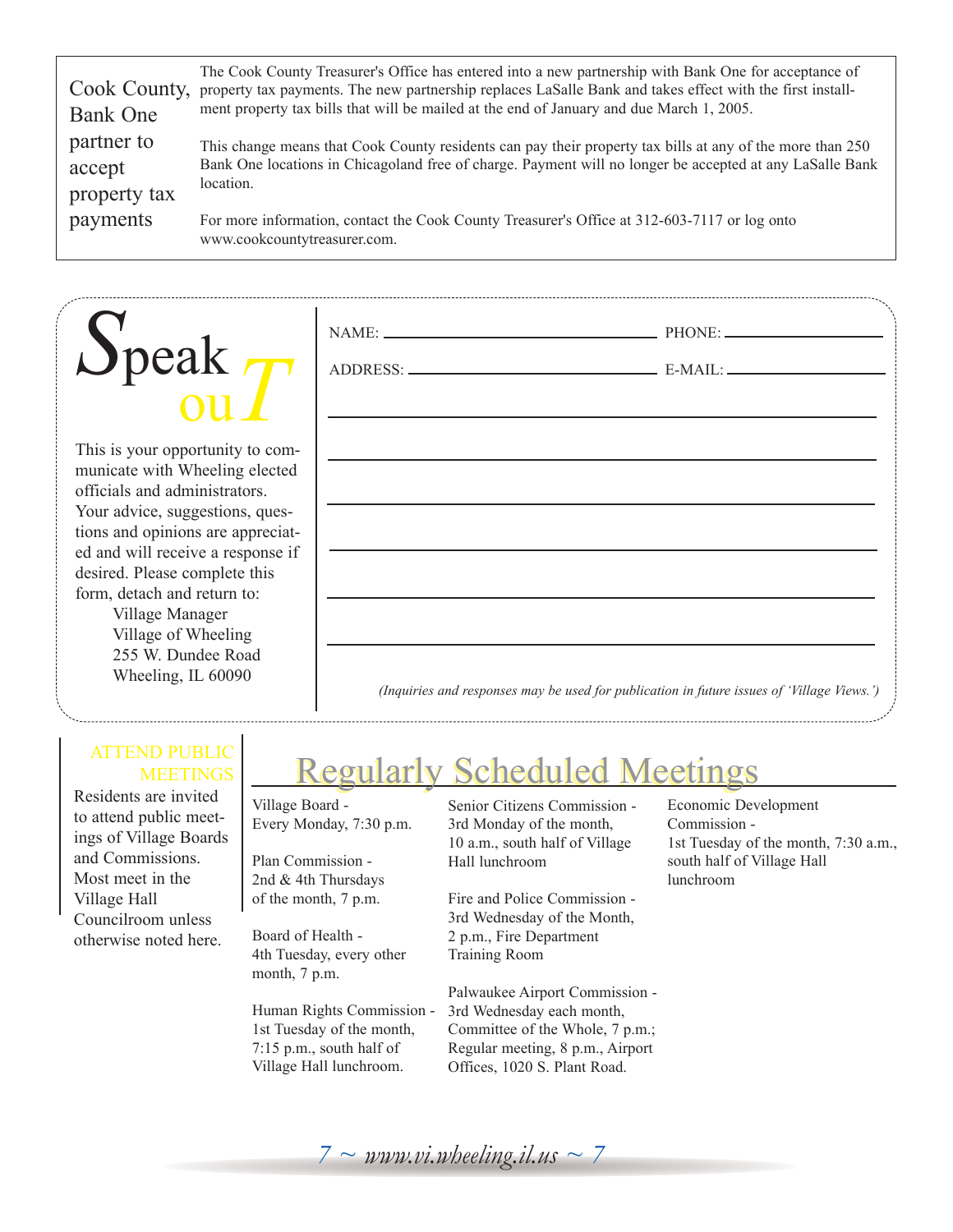| Cook County,<br><b>Bank One</b>      | The Cook County Treasurer's Office has entered into a new partnership with Bank One for acceptance of<br>property tax payments. The new partnership replaces LaSalle Bank and takes effect with the first install-<br>ment property tax bills that will be mailed at the end of January and due March 1, 2005. |
|--------------------------------------|----------------------------------------------------------------------------------------------------------------------------------------------------------------------------------------------------------------------------------------------------------------------------------------------------------------|
| partner to<br>accept<br>property tax | This change means that Cook County residents can pay their property tax bills at any of the more than 250<br>Bank One locations in Chicagoland free of charge. Payment will no longer be accepted at any LaSalle Bank<br>location.                                                                             |
| payments                             | For more information, contact the Cook County Treasurer's Office at 312-603-7117 or log onto<br>www.cookcountytreasurer.com.                                                                                                                                                                                   |

NAME: PHONE:

ADDRESS: E-MAIL:

# *S*peak ou*T*

This is your opportunity to communicate with Wheeling elected officials and administrators. Your advice, suggestions, questions and opinions are appreciated and will receive a response if desired. Please complete this form, detach and return to: Village Manager

Village of Wheeling 255 W. Dundee Road Wheeling, IL 60090

#### *(Inquiries and responses may be used for publication in future issues of 'Village Views.')*

#### ATTEND PUBLIC **MEETINGS**

Residents are invited to attend public meetings of Village Boards and Commissions. Most meet in the Village Hall Councilroom unless otherwise noted here.

### Regularly Scheduled Meetings Regularly Scheduled Meetings

Village Board - Every Monday, 7:30 p.m.

Plan Commission - 2nd & 4th Thursdays of the month, 7 p.m.

Board of Health - 4th Tuesday, every other month, 7 p.m.

Human Rights Commission - 1st Tuesday of the month, 7:15 p.m., south half of Village Hall lunchroom.

Senior Citizens Commission - 3rd Monday of the month, 10 a.m., south half of Village Hall lunchroom

Fire and Police Commission - 3rd Wednesday of the Month, 2 p.m., Fire Department Training Room

Palwaukee Airport Commission - 3rd Wednesday each month, Committee of the Whole, 7 p.m.; Regular meeting, 8 p.m., Airport Offices, 1020 S. Plant Road.

Economic Development Commission - 1st Tuesday of the month, 7:30 a.m., south half of Village Hall lunchroom

 $7 \sim$  *www.vi.wheeling.il.us*  $\sim$  7